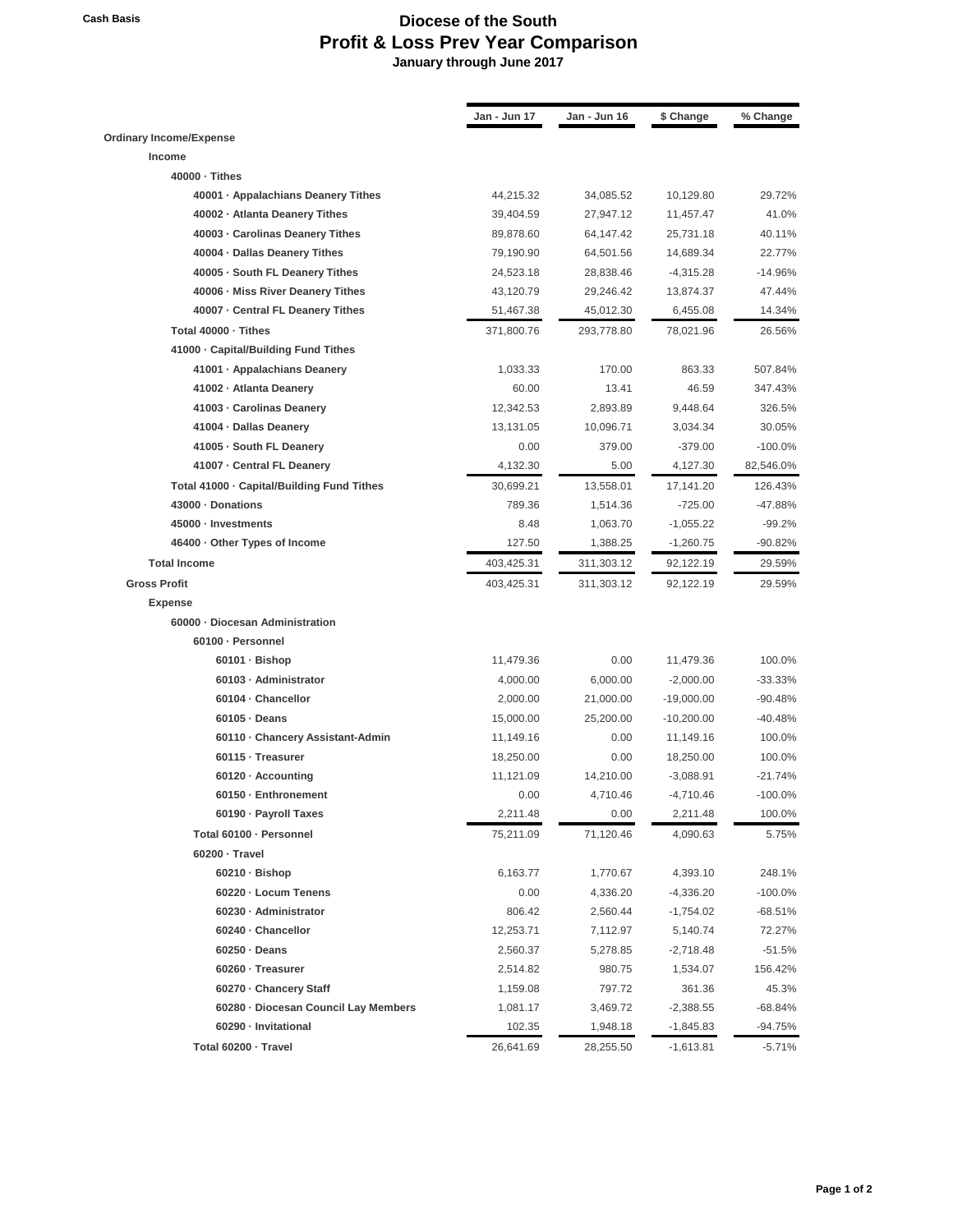## **Cash Basis Diocese of the South Profit & Loss Prev Year Comparison January through June 2017**

|                                            | Jan - Jun 17 | Jan - Jun 16 | \$ Change    | % Change   |
|--------------------------------------------|--------------|--------------|--------------|------------|
| <b>Ordinary Income/Expense</b>             |              |              |              |            |
| Income                                     |              |              |              |            |
| 40000 - Tithes                             |              |              |              |            |
| 40001 · Appalachians Deanery Tithes        | 44,215.32    | 34,085.52    | 10,129.80    | 29.72%     |
| 40002 · Atlanta Deanery Tithes             | 39,404.59    | 27,947.12    | 11,457.47    | 41.0%      |
| 40003 - Carolinas Deanery Tithes           | 89,878.60    | 64,147.42    | 25,731.18    | 40.11%     |
| 40004 · Dallas Deanery Tithes              | 79,190.90    | 64,501.56    | 14,689.34    | 22.77%     |
| 40005 · South FL Deanery Tithes            | 24,523.18    | 28,838.46    | $-4,315.28$  | $-14.96%$  |
| 40006 - Miss River Deanery Tithes          | 43,120.79    | 29,246.42    | 13,874.37    | 47.44%     |
| 40007 - Central FL Deanery Tithes          | 51,467.38    | 45,012.30    | 6,455.08     | 14.34%     |
| Total 40000 - Tithes                       | 371,800.76   | 293,778.80   | 78,021.96    | 26.56%     |
| 41000 · Capital/Building Fund Tithes       |              |              |              |            |
| 41001 · Appalachians Deanery               | 1,033.33     | 170.00       | 863.33       | 507.84%    |
| 41002 - Atlanta Deanery                    | 60.00        | 13.41        | 46.59        | 347.43%    |
| 41003 - Carolinas Deanery                  | 12,342.53    | 2,893.89     | 9,448.64     | 326.5%     |
| 41004 · Dallas Deanery                     | 13,131.05    | 10,096.71    | 3,034.34     | 30.05%     |
| 41005 · South FL Deanery                   | 0.00         | 379.00       | $-379.00$    | $-100.0\%$ |
| 41007 - Central FL Deanery                 | 4,132.30     | 5.00         | 4,127.30     | 82,546.0%  |
| Total 41000 · Capital/Building Fund Tithes | 30,699.21    | 13,558.01    | 17,141.20    | 126.43%    |
| 43000 · Donations                          | 789.36       | 1,514.36     | $-725.00$    | -47.88%    |
| 45000 · Investments                        | 8.48         | 1,063.70     | $-1,055.22$  | $-99.2%$   |
| 46400 · Other Types of Income              | 127.50       | 1,388.25     | $-1,260.75$  | -90.82%    |
| <b>Total Income</b>                        | 403,425.31   | 311,303.12   | 92,122.19    | 29.59%     |
| <b>Gross Profit</b>                        | 403,425.31   | 311,303.12   | 92,122.19    | 29.59%     |
| <b>Expense</b>                             |              |              |              |            |
| 60000 - Diocesan Administration            |              |              |              |            |
| 60100 · Personnel                          |              |              |              |            |
| 60101 · Bishop                             | 11,479.36    | 0.00         | 11,479.36    | 100.0%     |
| 60103 - Administrator                      | 4,000.00     | 6,000.00     | $-2,000.00$  | $-33.33\%$ |
| 60104 - Chancellor                         | 2,000.00     | 21,000.00    | $-19,000.00$ | $-90.48%$  |
| $60105 \cdot$ Deans                        | 15,000.00    | 25,200.00    | $-10,200.00$ | $-40.48%$  |
| 60110 Chancery Assistant-Admin             | 11,149.16    | 0.00         | 11,149.16    | 100.0%     |
| 60115 · Treasurer                          | 18,250.00    | 0.00         | 18,250.00    | 100.0%     |
| 60120 · Accounting                         | 11,121.09    | 14,210.00    | $-3,088.91$  | $-21.74%$  |
| 60150 · Enthronement                       | 0.00         | 4,710.46     | $-4,710.46$  | $-100.0%$  |
| 60190 · Payroll Taxes                      | 2,211.48     | 0.00         | 2,211.48     | 100.0%     |
| Total 60100 · Personnel                    | 75,211.09    | 71,120.46    | 4,090.63     | 5.75%      |
| 60200 - Travel                             |              |              |              |            |
| 60210 · Bishop                             | 6,163.77     | 1,770.67     | 4,393.10     | 248.1%     |
| 60220 - Locum Tenens                       | 0.00         | 4,336.20     | $-4,336.20$  | $-100.0\%$ |
| 60230 · Administrator                      | 806.42       | 2,560.44     | $-1,754.02$  | -68.51%    |
| 60240 - Chancellor                         | 12,253.71    | 7,112.97     | 5,140.74     | 72.27%     |
| $60250 \cdot Deans$                        | 2,560.37     | 5,278.85     | -2,718.48    | -51.5%     |
| 60260 · Treasurer                          | 2,514.82     | 980.75       | 1,534.07     | 156.42%    |
| 60270 - Chancery Staff                     | 1,159.08     | 797.72       | 361.36       | 45.3%      |
| 60280 · Diocesan Council Lay Members       | 1,081.17     | 3,469.72     | $-2,388.55$  | -68.84%    |
| 60290 - Invitational                       | 102.35       | 1,948.18     | -1,845.83    | -94.75%    |
| Total 60200 · Travel                       | 26,641.69    | 28,255.50    | $-1,613.81$  | -5.71%     |